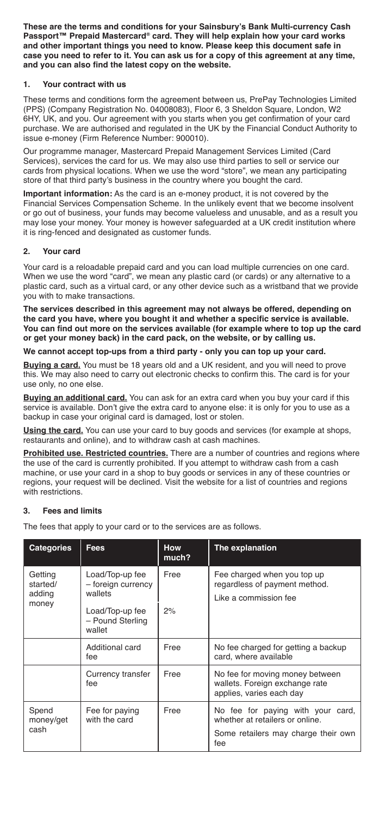**These are the terms and conditions for your Sainsbury's Bank Multi-currency Cash Passport™ Prepaid Mastercard® card. They will help explain how your card works and other important things you need to know. Please keep this document safe in case you need to refer to it. You can ask us for a copy of this agreement at any time, and you can also find the latest copy on the website.**

## **1. Your contract with us**

These terms and conditions form the agreement between us, PrePay Technologies Limited (PPS) (Company Registration No. 04008083), Floor 6, 3 Sheldon Square, London, W2 6HY, UK, and you. Our agreement with you starts when you get confirmation of your card purchase. We are authorised and regulated in the UK by the Financial Conduct Authority to issue e-money (Firm Reference Number: 900010).

Our programme manager, Mastercard Prepaid Management Services Limited (Card Services), services the card for us. We may also use third parties to sell or service our cards from physical locations. When we use the word "store", we mean any participating store of that third party's business in the country where you bought the card.

**Important information:** As the card is an e-money product, it is not covered by the Financial Services Compensation Scheme. In the unlikely event that we become insolvent or go out of business, your funds may become valueless and unusable, and as a result you may lose your money. Your money is however safeguarded at a UK credit institution where it is ring-fenced and designated as customer funds.

## **2. Your card**

Your card is a reloadable prepaid card and you can load multiple currencies on one card. When we use the word "card", we mean any plastic card (or cards) or any alternative to a plastic card, such as a virtual card, or any other device such as a wristband that we provide you with to make transactions.

**The services described in this agreement may not always be offered, depending on the card you have, where you bought it and whether a specific service is available. You can find out more on the services available (for example where to top up the card or get your money back) in the card pack, on the website, or by calling us.**

## **We cannot accept top-ups from a third party - only you can top up your card.**

**Buying a card.** You must be 18 years old and a UK resident, and you will need to prove this. We may also need to carry out electronic checks to confirm this. The card is for your use only, no one else.

**Buying an additional card.** You can ask for an extra card when you buy your card if this service is available. Don't give the extra card to anyone else: it is only for you to use as a backup in case your original card is damaged, lost or stolen.

**Using the card.** You can use your card to buy goods and services (for example at shops, restaurants and online), and to withdraw cash at cash machines.

**Prohibited use. Restricted countries.** There are a number of countries and regions where the use of the card is currently prohibited. If you attempt to withdraw cash from a cash machine, or use your card in a shop to buy goods or services in any of these countries or regions, your request will be declined. Visit the website for a list of countries and regions with restrictions.

#### **3. Fees and limits**

The fees that apply to your card or to the services are as follows.

| <b>Categories</b>                      | <b>Fees</b>                                                                                       | <b>How</b><br>much? | The explanation                                                                                                    |
|----------------------------------------|---------------------------------------------------------------------------------------------------|---------------------|--------------------------------------------------------------------------------------------------------------------|
| Getting<br>started/<br>adding<br>money | Load/Top-up fee<br>- foreign currency<br>wallets<br>Load/Top-up fee<br>- Pound Sterling<br>wallet | Free<br>2%          | Fee charged when you top up<br>regardless of payment method.<br>Like a commission fee                              |
|                                        | Additional card<br>fee                                                                            | Free                | No fee charged for getting a backup<br>card, where available                                                       |
|                                        | Currency transfer<br>fee                                                                          | Free                | No fee for moving money between<br>wallets. Foreign exchange rate<br>applies, varies each day                      |
| Spend<br>money/get<br>cash             | Fee for paying<br>with the card                                                                   | Free                | No fee for paying with your card,<br>whether at retailers or online.<br>Some retailers may charge their own<br>fee |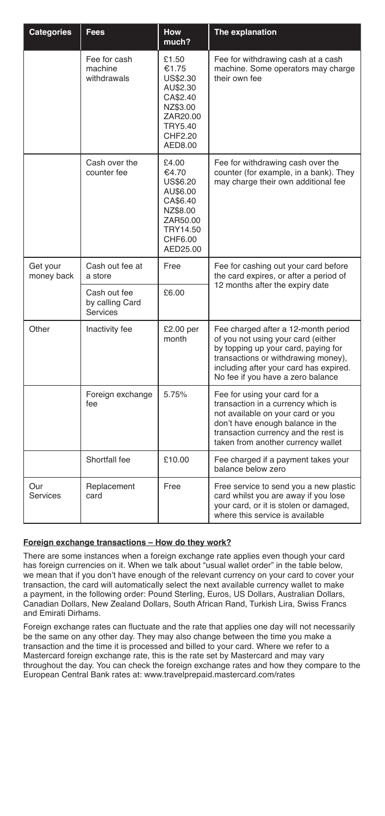| Categories             | Fees                                        | <b>How</b><br>much?                                                                                                | The explanation                                                                                                                                                                                                                        |
|------------------------|---------------------------------------------|--------------------------------------------------------------------------------------------------------------------|----------------------------------------------------------------------------------------------------------------------------------------------------------------------------------------------------------------------------------------|
|                        | Fee for cash<br>machine<br>withdrawals      | £1.50<br>€1.75<br>US\$2.30<br>AU\$2.30<br>CA\$2.40<br>NZ\$3.00<br>ZAR20.00<br><b>TRY5.40</b><br>CHF2.20<br>AED8.00 | Fee for withdrawing cash at a cash<br>machine. Some operators may charge<br>their own fee                                                                                                                                              |
|                        | Cash over the<br>counter fee                | £4.00<br>€4.70<br>US\$6.20<br>AU\$6.00<br>CA\$6.40<br>NZ\$8.00<br>ZAR50.00<br>TRY14.50<br>CHF6.00<br>AED25.00      | Fee for withdrawing cash over the<br>counter (for example, in a bank). They<br>may charge their own additional fee                                                                                                                     |
| Get your<br>money back | Cash out fee at<br>a store                  | Free                                                                                                               | Fee for cashing out your card before<br>the card expires, or after a period of                                                                                                                                                         |
|                        | Cash out fee<br>by calling Card<br>Services | C6.00                                                                                                              | 12 months after the expiry date                                                                                                                                                                                                        |
| Other                  | Inactivity fee                              | £2.00 per<br>month                                                                                                 | Fee charged after a 12-month period<br>of you not using your card (either<br>by topping up your card, paying for<br>transactions or withdrawing money),<br>including after your card has expired.<br>No fee if you have a zero balance |
|                        | Foreign exchange<br>fee                     | 5.75%                                                                                                              | Fee for using your card for a<br>transaction in a currency which is<br>not available on your card or you<br>don't have enough balance in the<br>transaction currency and the rest is<br>taken from another currency wallet             |
|                        | Shortfall fee                               | £10.00                                                                                                             | Fee charged if a payment takes your<br>balance below zero                                                                                                                                                                              |
| Our<br>Services        | Replacement<br>card                         | Free                                                                                                               | Free service to send you a new plastic<br>card whilst you are away if you lose<br>your card, or it is stolen or damaged,<br>where this service is available                                                                            |

# **Foreign exchange transactions – How do they work?**

There are some instances when a foreign exchange rate applies even though your card has foreign currencies on it. When we talk about "usual wallet order" in the table below, we mean that if you don't have enough of the relevant currency on your card to cover your transaction, the card will automatically select the next available currency wallet to make a payment, in the following order: Pound Sterling, Euros, US Dollars, Australian Dollars, Canadian Dollars, New Zealand Dollars, South African Rand, Turkish Lira, Swiss Francs and Emirati Dirhams.

Foreign exchange rates can fluctuate and the rate that applies one day will not necessarily be the same on any other day. They may also change between the time you make a transaction and the time it is processed and billed to your card. Where we refer to a Mastercard foreign exchange rate, this is the rate set by Mastercard and may vary throughout the day. You can check the foreign exchange rates and how they compare to the European Central Bank rates at: www.travelprepaid.mastercard.com/rates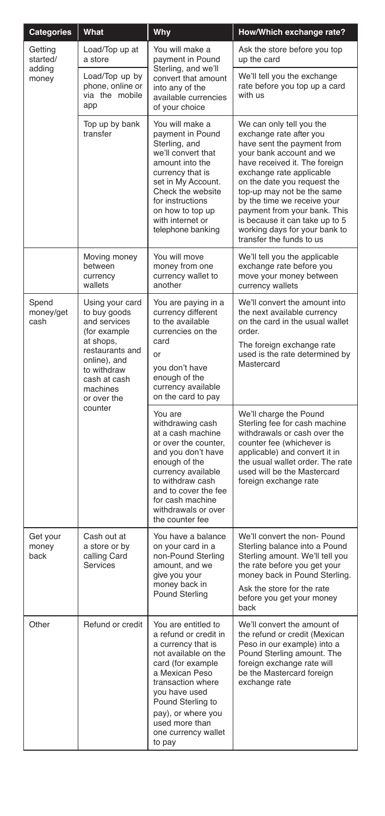| Categories                             | What                                                                                                                                                                                 | Why                                                                                                                                                                                                                                                         | How/Which exchange rate?                                                                                                                                                                                                                                                                                                                                                                              |
|----------------------------------------|--------------------------------------------------------------------------------------------------------------------------------------------------------------------------------------|-------------------------------------------------------------------------------------------------------------------------------------------------------------------------------------------------------------------------------------------------------------|-------------------------------------------------------------------------------------------------------------------------------------------------------------------------------------------------------------------------------------------------------------------------------------------------------------------------------------------------------------------------------------------------------|
| Getting<br>started/<br>adding<br>money | Load/Top up at<br>a store                                                                                                                                                            | You will make a<br>payment in Pound                                                                                                                                                                                                                         | Ask the store before you top<br>up the card                                                                                                                                                                                                                                                                                                                                                           |
|                                        | Load/Top up by<br>phone, online or<br>via the mobile<br>app                                                                                                                          | Sterling, and we'll<br>convert that amount<br>into any of the<br>available currencies<br>of your choice                                                                                                                                                     | We'll tell you the exchange<br>rate before you top up a card<br>with us                                                                                                                                                                                                                                                                                                                               |
|                                        | Top up by bank<br>transfer                                                                                                                                                           | You will make a<br>payment in Pound<br>Sterling, and<br>we'll convert that<br>amount into the<br>currency that is<br>set in My Account.<br>Check the website<br>for instructions<br>on how to top up<br>with internet or<br>telephone banking               | We can only tell you the<br>exchange rate after you<br>have sent the payment from<br>your bank account and we<br>have received it. The foreign<br>exchange rate applicable<br>on the date you request the<br>top-up may not be the same<br>by the time we receive your<br>payment from your bank. This<br>is because it can take up to 5<br>working days for your bank to<br>transfer the funds to us |
|                                        | Moving money<br>between<br>currency<br>wallets                                                                                                                                       | You will move<br>money from one<br>currency wallet to<br>another                                                                                                                                                                                            | We'll tell you the applicable<br>exchange rate before you<br>move your money between<br>currency wallets                                                                                                                                                                                                                                                                                              |
| Spend<br>money/get<br>cash             | Using your card<br>to buy goods<br>and services<br>(for example<br>at shops,<br>restaurants and<br>online), and<br>to withdraw<br>cash at cash<br>machines<br>or over the<br>counter | You are paying in a<br>currency different<br>to the available<br>currencies on the<br>card<br>or<br>you don't have<br>enough of the<br>currency available<br>on the card to pay                                                                             | We'll convert the amount into<br>the next available currency<br>on the card in the usual wallet<br>order.<br>The foreign exchange rate<br>used is the rate determined by<br>Mastercard                                                                                                                                                                                                                |
|                                        |                                                                                                                                                                                      | You are<br>withdrawing cash<br>at a cash machine<br>or over the counter,<br>and you don't have<br>enough of the<br>currency available<br>to withdraw cash<br>and to cover the fee<br>for cash machine<br>withdrawals or over<br>the counter fee             | We'll charge the Pound<br>Sterling fee for cash machine<br>withdrawals or cash over the<br>counter fee (whichever is<br>applicable) and convert it in<br>the usual wallet order. The rate<br>used will be the Mastercard<br>foreign exchange rate                                                                                                                                                     |
| Get your<br>money<br>back              | Cash out at<br>a store or by<br>calling Card<br>Services                                                                                                                             | You have a balance<br>on your card in a<br>non-Pound Sterling<br>amount, and we<br>give you your<br>money back in<br>Pound Sterling                                                                                                                         | We'll convert the non- Pound<br>Sterling balance into a Pound<br>Sterling amount. We'll tell you<br>the rate before you get your<br>money back in Pound Sterling.<br>Ask the store for the rate<br>before you get your money<br>back                                                                                                                                                                  |
| Other                                  | Refund or credit                                                                                                                                                                     | You are entitled to<br>a refund or credit in<br>a currency that is<br>not available on the<br>card (for example<br>a Mexican Peso<br>transaction where<br>you have used<br>Pound Sterling to<br>pay), or where you<br>used more than<br>one currency wallet | We'll convert the amount of<br>the refund or credit (Mexican<br>Peso in our example) into a<br>Pound Sterling amount. The<br>foreign exchange rate will<br>be the Mastercard foreign<br>exchange rate                                                                                                                                                                                                 |
|                                        |                                                                                                                                                                                      | to pay                                                                                                                                                                                                                                                      |                                                                                                                                                                                                                                                                                                                                                                                                       |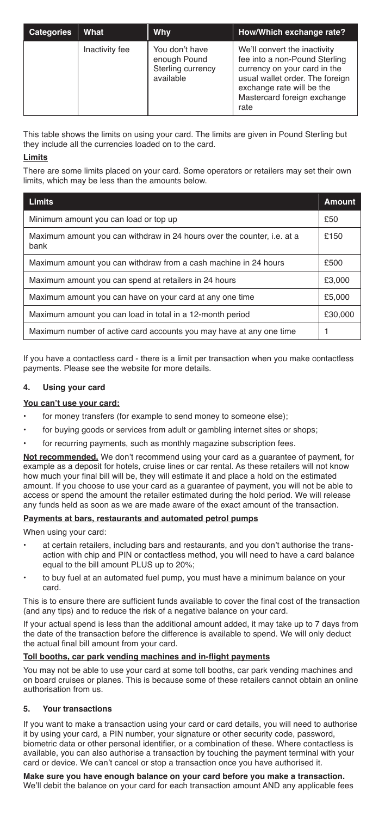| <b>Categories</b> | What           | <b>Why</b>                                                       | How/Which exchange rate?                                                                                                                                                                             |
|-------------------|----------------|------------------------------------------------------------------|------------------------------------------------------------------------------------------------------------------------------------------------------------------------------------------------------|
|                   | Inactivity fee | You don't have<br>enough Pound<br>Sterling currency<br>available | We'll convert the inactivity<br>fee into a non-Pound Sterling<br>currency on your card in the<br>usual wallet order. The foreign<br>exchange rate will be the<br>Mastercard foreign exchange<br>rate |

This table shows the limits on using your card. The limits are given in Pound Sterling but they include all the currencies loaded on to the card.

## **Limits**

There are some limits placed on your card. Some operators or retailers may set their own limits, which may be less than the amounts below.

| <b>Limits</b>                                                                   | <b>Amount</b> |  |
|---------------------------------------------------------------------------------|---------------|--|
| Minimum amount you can load or top up                                           | £50           |  |
| Maximum amount you can withdraw in 24 hours over the counter, i.e. at a<br>bank | £150          |  |
| Maximum amount you can withdraw from a cash machine in 24 hours                 | £500          |  |
| Maximum amount you can spend at retailers in 24 hours                           | £3,000        |  |
| Maximum amount you can have on your card at any one time                        | £5,000        |  |
| Maximum amount you can load in total in a 12-month period                       |               |  |
| Maximum number of active card accounts you may have at any one time             |               |  |

If you have a contactless card - there is a limit per transaction when you make contactless payments. Please see the website for more details.

## **4. Using your card**

#### **You can't use your card:**

- for money transfers (for example to send money to someone else);
- for buying goods or services from adult or gambling internet sites or shops;
- for recurring payments, such as monthly magazine subscription fees.

**Not recommended.** We don't recommend using your card as a guarantee of payment, for example as a deposit for hotels, cruise lines or car rental. As these retailers will not know how much your final bill will be, they will estimate it and place a hold on the estimated amount. If you choose to use your card as a guarantee of payment, you will not be able to access or spend the amount the retailer estimated during the hold period. We will release any funds held as soon as we are made aware of the exact amount of the transaction.

#### **Payments at bars, restaurants and automated petrol pumps**

When using your card:

- at certain retailers, including bars and restaurants, and you don't authorise the transaction with chip and PIN or contactless method, you will need to have a card balance equal to the bill amount PLUS up to 20%;
- to buy fuel at an automated fuel pump, you must have a minimum balance on your card.

This is to ensure there are sufficient funds available to cover the final cost of the transaction (and any tips) and to reduce the risk of a negative balance on your card.

If your actual spend is less than the additional amount added, it may take up to 7 days from the date of the transaction before the difference is available to spend. We will only deduct the actual final bill amount from your card.

#### **Toll booths, car park vending machines and in-flight payments**

You may not be able to use your card at some toll booths, car park vending machines and on board cruises or planes. This is because some of these retailers cannot obtain an online authorisation from us.

#### **5. Your transactions**

If you want to make a transaction using your card or card details, you will need to authorise it by using your card, a PIN number, your signature or other security code, password, biometric data or other personal identifier, or a combination of these. Where contactless is available, you can also authorise a transaction by touching the payment terminal with your card or device. We can't cancel or stop a transaction once you have authorised it.

# **Make sure you have enough balance on your card before you make a transaction.**

We'll debit the balance on your card for each transaction amount AND any applicable fees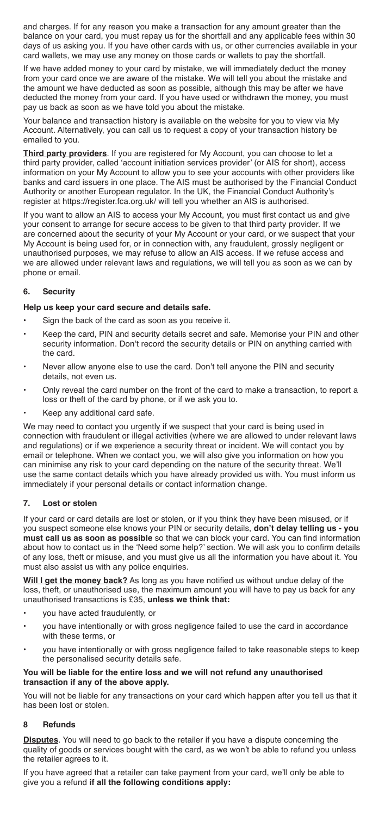and charges. If for any reason you make a transaction for any amount greater than the balance on your card, you must repay us for the shortfall and any applicable fees within 30 days of us asking you. If you have other cards with us, or other currencies available in your card wallets, we may use any money on those cards or wallets to pay the shortfall.

If we have added money to your card by mistake, we will immediately deduct the money from your card once we are aware of the mistake. We will tell you about the mistake and the amount we have deducted as soon as possible, although this may be after we have deducted the money from your card. If you have used or withdrawn the money, you must pay us back as soon as we have told you about the mistake.

Your balance and transaction history is available on the website for you to view via My Account. Alternatively, you can call us to request a copy of your transaction history be emailed to you.

**Third party providers**. If you are registered for My Account, you can choose to let a third party provider, called 'account initiation services provider' (or AIS for short), access information on your My Account to allow you to see your accounts with other providers like banks and card issuers in one place. The AIS must be authorised by the Financial Conduct Authority or another European regulator. In the UK, the Financial Conduct Authority's register at https://register.fca.org.uk/ will tell you whether an AIS is authorised.

If you want to allow an AIS to access your My Account, you must first contact us and give your consent to arrange for secure access to be given to that third party provider. If we are concerned about the security of your My Account or your card, or we suspect that your My Account is being used for, or in connection with, any fraudulent, grossly negligent or unauthorised purposes, we may refuse to allow an AIS access. If we refuse access and we are allowed under relevant laws and regulations, we will tell you as soon as we can by phone or email.

## **6. Security**

#### **Help us keep your card secure and details safe.**

- Sign the back of the card as soon as you receive it.
- Keep the card, PIN and security details secret and safe. Memorise your PIN and other security information. Don't record the security details or PIN on anything carried with the card.
- Never allow anyone else to use the card. Don't tell anyone the PIN and security details, not even us.
- Only reveal the card number on the front of the card to make a transaction, to report a loss or theft of the card by phone, or if we ask you to.
- Keep any additional card safe.

We may need to contact you urgently if we suspect that your card is being used in connection with fraudulent or illegal activities (where we are allowed to under relevant laws and regulations) or if we experience a security threat or incident. We will contact you by email or telephone. When we contact you, we will also give you information on how you can minimise any risk to your card depending on the nature of the security threat. We'll use the same contact details which you have already provided us with. You must inform us immediately if your personal details or contact information change.

#### **7. Lost or stolen**

If your card or card details are lost or stolen, or if you think they have been misused, or if you suspect someone else knows your PIN or security details, **don't delay telling us - you must call us as soon as possible** so that we can block your card. You can find information about how to contact us in the 'Need some help?' section. We will ask you to confirm details of any loss, theft or misuse, and you must give us all the information you have about it. You must also assist us with any police enquiries.

**Will I get the money back?** As long as you have notified us without undue delay of the loss, theft, or unauthorised use, the maximum amount you will have to pay us back for any unauthorised transactions is £35, **unless we think that:**

- you have acted fraudulently, or
- you have intentionally or with gross negligence failed to use the card in accordance with these terms, or
- you have intentionally or with gross negligence failed to take reasonable steps to keep the personalised security details safe.

#### **You will be liable for the entire loss and we will not refund any unauthorised transaction if any of the above apply.**

You will not be liable for any transactions on your card which happen after you tell us that it has been lost or stolen.

#### **8 Refunds**

**Disputes**. You will need to go back to the retailer if you have a dispute concerning the quality of goods or services bought with the card, as we won't be able to refund you unless the retailer agrees to it.

If you have agreed that a retailer can take payment from your card, we'll only be able to give you a refund **if all the following conditions apply:**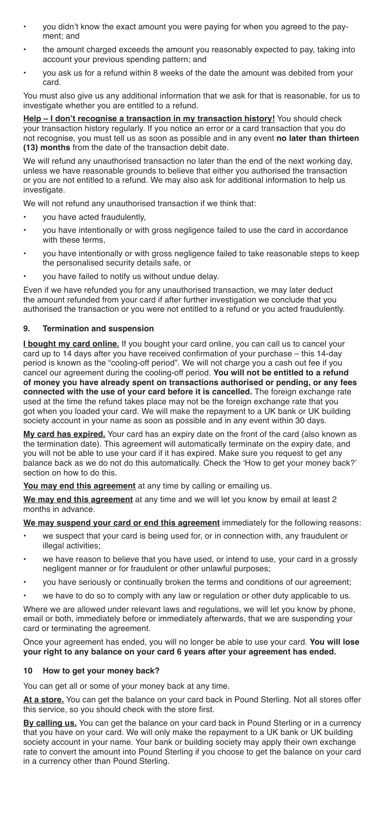- you didn't know the exact amount you were paying for when you agreed to the payment; and
- the amount charged exceeds the amount you reasonably expected to pay, taking into account your previous spending pattern; and
- you ask us for a refund within 8 weeks of the date the amount was debited from your card.

You must also give us any additional information that we ask for that is reasonable, for us to investigate whether you are entitled to a refund.

**Help - I don't recognise a transaction in my transaction history!** You should check your transaction history regularly. If you notice an error or a card transaction that you do not recognise, you must tell us as soon as possible and in any event **no later than thirteen (13) months** from the date of the transaction debit date.

We will refund any unauthorised transaction no later than the end of the next working day, unless we have reasonable grounds to believe that either you authorised the transaction or you are not entitled to a refund. We may also ask for additional information to help us investigate

We will not refund any unauthorised transaction if we think that:

- you have acted fraudulently,
- you have intentionally or with gross negligence failed to use the card in accordance with these terms,
- you have intentionally or with gross negligence failed to take reasonable steps to keep the personalised security details safe, or
- you have failed to notify us without undue delay.

Even if we have refunded you for any unauthorised transaction, we may later deduct the amount refunded from your card if after further investigation we conclude that you authorised the transaction or you were not entitled to a refund or you acted fraudulently.

#### **9. Termination and suspension**

**I bought my card online.** If you bought your card online, you can call us to cancel your card up to 14 days after you have received confirmation of your purchase – this 14-day period is known as the "cooling-off period". We will not charge you a cash out fee if you cancel our agreement during the cooling-off period. **You will not be entitled to a refund of money you have already spent on transactions authorised or pending, or any fees connected with the use of your card before it is cancelled.** The foreign exchange rate used at the time the refund takes place may not be the foreign exchange rate that you got when you loaded your card. We will make the repayment to a UK bank or UK building society account in your name as soon as possible and in any event within 30 days.

**My card has expired.** Your card has an expiry date on the front of the card (also known as the termination date). This agreement will automatically terminate on the expiry date, and you will not be able to use your card if it has expired. Make sure you request to get any balance back as we do not do this automatically. Check the 'How to get your money back?' section on how to do this.

**You may end this agreement** at any time by calling or emailing us.

**We may end this agreement** at any time and we will let you know by email at least 2 months in advance.

**We may suspend your card or end this agreement** immediately for the following reasons:

- we suspect that your card is being used for, or in connection with, any fraudulent or illegal activities;
- we have reason to believe that you have used, or intend to use, your card in a grossly negligent manner or for fraudulent or other unlawful purposes;
- you have seriously or continually broken the terms and conditions of our agreement;
- we have to do so to comply with any law or regulation or other duty applicable to us.

Where we are allowed under relevant laws and regulations, we will let you know by phone, email or both, immediately before or immediately afterwards, that we are suspending your card or terminating the agreement.

Once your agreement has ended, you will no longer be able to use your card. **You will lose your right to any balance on your card 6 years after your agreement has ended.**

#### **10 How to get your money back?**

You can get all or some of your money back at any time.

**At a store.** You can get the balance on your card back in Pound Sterling. Not all stores offer this service, so you should check with the store first.

**By calling us.** You can get the balance on your card back in Pound Sterling or in a currency that you have on your card. We will only make the repayment to a UK bank or UK building society account in your name. Your bank or building society may apply their own exchange rate to convert the amount into Pound Sterling if you choose to get the balance on your card in a currency other than Pound Sterling.